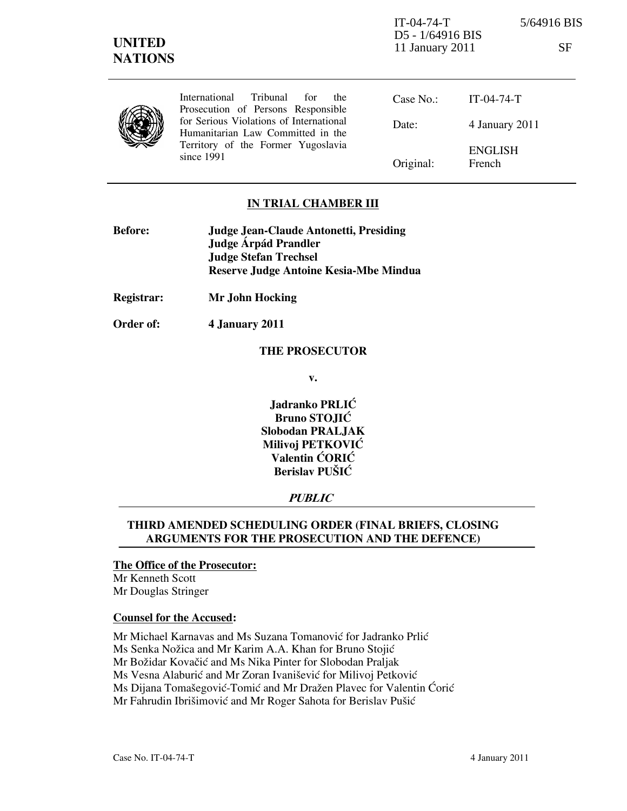IT-04-74-T 5/64916 BIS D5 - 1/64916 BIS 11 January 2011 SF

|  | International Tribunal for<br><sub>the</sub><br>Prosecution of Persons Responsible                                               | Case No.: | IT-04-74-T               |
|--|----------------------------------------------------------------------------------------------------------------------------------|-----------|--------------------------|
|  | for Serious Violations of International<br>Humanitarian Law Committed in the<br>Territory of the Former Yugoslavia<br>since 1991 | Date:     | 4 January 2011           |
|  |                                                                                                                                  | Original: | <b>ENGLISH</b><br>French |

# IN TRIAL CHAMBER III

| <b>Before:</b> | Judge Jean-Claude Antonetti, Presiding |
|----------------|----------------------------------------|
|                | Judge Árpád Prandler                   |
|                | <b>Judge Stefan Trechsel</b>           |
|                | Reserve Judge Antoine Kesia-Mbe Mindua |

Registrar: Mr John Hocking

Order of: 4 January 2011

#### THE PROSECUTOR

v.

Jadranko PRLIĆ Bruno STOJIĆ Slobodan PRALJAK Milivoj PETKOVIĆ Valentin ĆORIĆ Berislav PUŠIĆ

# **PUBLIC**

# THIRD AMENDED SCHEDULING ORDER (FINAL BRIEFS, CLOSING ARGUMENTS FOR THE PROSECUTION AND THE DEFENCE)

### The Office of the Prosecutor:

Mr Kenneth Scott Mr Douglas Stringer

### Counsel for the Accused:

Mr Michael Karnavas and Ms Suzana Tomanović for Jadranko Prlić

Ms Senka Nožica and Mr Karim A.A. Khan for Bruno Stojić

Mr Božidar Kovačić and Ms Nika Pinter for Slobodan Praljak

Ms Vesna Alaburić and Mr Zoran Ivanišević for Milivoj Petković

Ms Dijana Tomašegović-Tomić and Mr Dražen Plavec for Valentin Ćorić

Mr Fahrudin Ibrišimović and Mr Roger Sahota for Berislav Pušić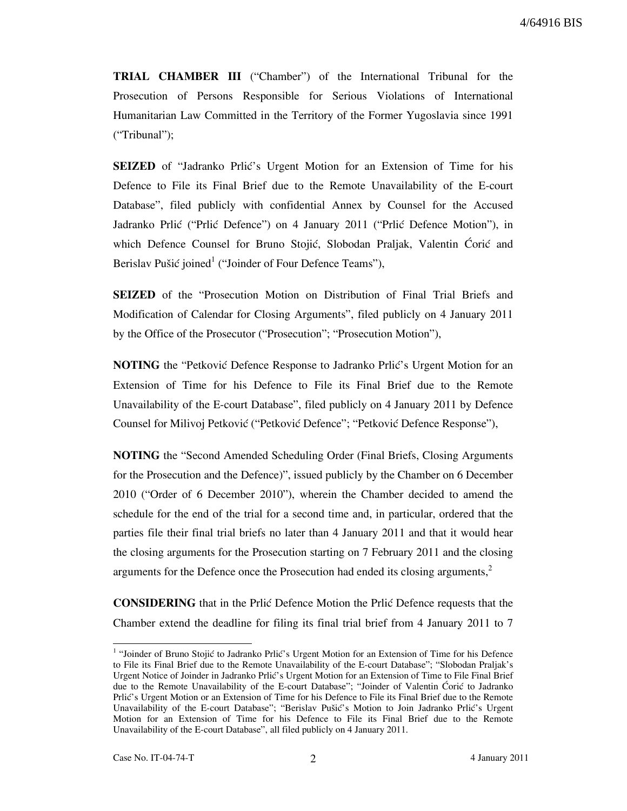TRIAL CHAMBER III ("Chamber") of the International Tribunal for the Prosecution of Persons Responsible for Serious Violations of International Humanitarian Law Committed in the Territory of the Former Yugoslavia since 1991 ("Tribunal");

SEIZED of "Jadranko Prlić's Urgent Motion for an Extension of Time for his Defence to File its Final Brief due to the Remote Unavailability of the E-court Database", filed publicly with confidential Annex by Counsel for the Accused Jadranko Prlić ("Prlić Defence") on 4 January 2011 ("Prlić Defence Motion"), in which Defence Counsel for Bruno Stojić, Slobodan Praljak, Valentin Ćorić and Berislav Pušić joined<sup>1</sup> ("Joinder of Four Defence Teams"),

SEIZED of the "Prosecution Motion on Distribution of Final Trial Briefs and Modification of Calendar for Closing Arguments", filed publicly on 4 January 2011 by the Office of the Prosecutor ("Prosecution"; "Prosecution Motion"),

NOTING the "Petković Defence Response to Jadranko Prlić's Urgent Motion for an Extension of Time for his Defence to File its Final Brief due to the Remote Unavailability of the E-court Database", filed publicly on 4 January 2011 by Defence Counsel for Milivoj Petković ("Petković Defence"; "Petković Defence Response"),

NOTING the "Second Amended Scheduling Order (Final Briefs, Closing Arguments for the Prosecution and the Defence)", issued publicly by the Chamber on 6 December 2010 ("Order of 6 December 2010"), wherein the Chamber decided to amend the schedule for the end of the trial for a second time and, in particular, ordered that the parties file their final trial briefs no later than 4 January 2011 and that it would hear the closing arguments for the Prosecution starting on 7 February 2011 and the closing arguments for the Defence once the Prosecution had ended its closing arguments, $<sup>2</sup>$ </sup>

**CONSIDERING** that in the Prlic Defence Motion the Prlic Defence requests that the Chamber extend the deadline for filing its final trial brief from 4 January 2011 to 7

 1 "Joinder of Bruno Stojić to Jadranko Prlić's Urgent Motion for an Extension of Time for his Defence to File its Final Brief due to the Remote Unavailability of the E-court Database"; "Slobodan Praljak's Urgent Notice of Joinder in Jadranko Prlić's Urgent Motion for an Extension of Time to File Final Brief due to the Remote Unavailability of the E-court Database"; "Joinder of Valentin Ćorić to Jadranko Prlić's Urgent Motion or an Extension of Time for his Defence to File its Final Brief due to the Remote Unavailability of the E-court Database"; "Berislav Pušić's Motion to Join Jadranko Prlić's Urgent Motion for an Extension of Time for his Defence to File its Final Brief due to the Remote Unavailability of the E-court Database", all filed publicly on 4 January 2011.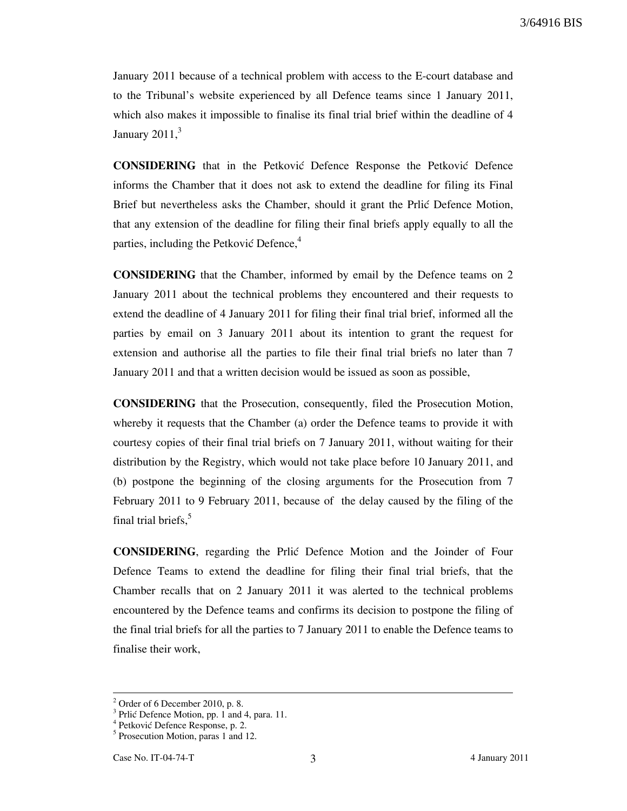January 2011 because of a technical problem with access to the E-court database and to the Tribunal's website experienced by all Defence teams since 1 January 2011, which also makes it impossible to finalise its final trial brief within the deadline of 4 January  $2011<sup>3</sup>$ 

**CONSIDERING** that in the Petkovic Defence Response the Petkovic Defence informs the Chamber that it does not ask to extend the deadline for filing its Final Brief but nevertheless asks the Chamber, should it grant the Prlić Defence Motion, that any extension of the deadline for filing their final briefs apply equally to all the parties, including the Petković Defence, $4$ 

CONSIDERING that the Chamber, informed by email by the Defence teams on 2 January 2011 about the technical problems they encountered and their requests to extend the deadline of 4 January 2011 for filing their final trial brief, informed all the parties by email on 3 January 2011 about its intention to grant the request for extension and authorise all the parties to file their final trial briefs no later than 7 January 2011 and that a written decision would be issued as soon as possible,

CONSIDERING that the Prosecution, consequently, filed the Prosecution Motion, whereby it requests that the Chamber (a) order the Defence teams to provide it with courtesy copies of their final trial briefs on 7 January 2011, without waiting for their distribution by the Registry, which would not take place before 10 January 2011, and (b) postpone the beginning of the closing arguments for the Prosecution from 7 February 2011 to 9 February 2011, because of the delay caused by the filing of the final trial briefs.<sup>5</sup>

CONSIDERING, regarding the Prli} Defence Motion and the Joinder of Four Defence Teams to extend the deadline for filing their final trial briefs, that the Chamber recalls that on 2 January 2011 it was alerted to the technical problems encountered by the Defence teams and confirms its decision to postpone the filing of the final trial briefs for all the parties to 7 January 2011 to enable the Defence teams to finalise their work,

-

 $2^2$  Order of 6 December 2010, p. 8.

 $3$  Prlić Defence Motion, pp. 1 and 4, para. 11.

<sup>&</sup>lt;sup>4</sup> Petković Defence Response, p. 2.

<sup>&</sup>lt;sup>5</sup> Prosecution Motion, paras 1 and 12.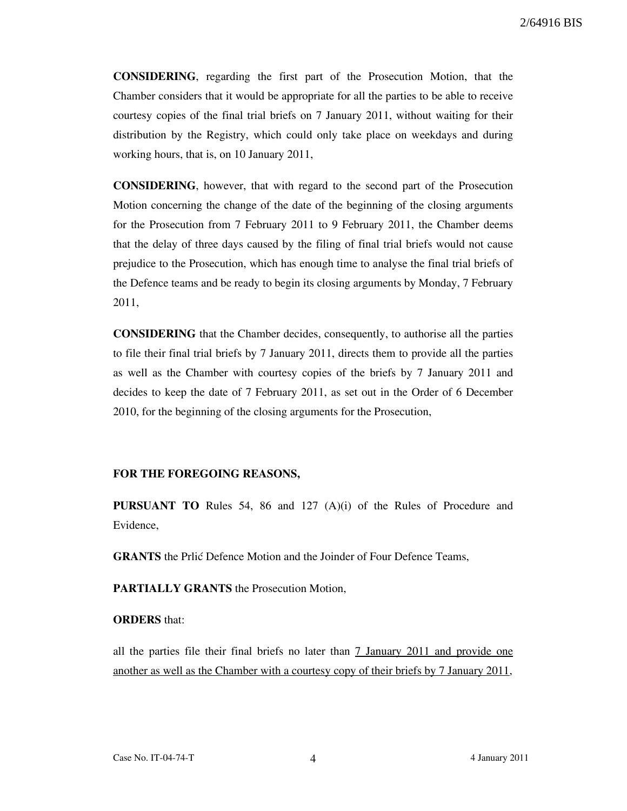2/64916 BIS

CONSIDERING, regarding the first part of the Prosecution Motion, that the Chamber considers that it would be appropriate for all the parties to be able to receive courtesy copies of the final trial briefs on 7 January 2011, without waiting for their distribution by the Registry, which could only take place on weekdays and during working hours, that is, on 10 January 2011,

CONSIDERING, however, that with regard to the second part of the Prosecution Motion concerning the change of the date of the beginning of the closing arguments for the Prosecution from 7 February 2011 to 9 February 2011, the Chamber deems that the delay of three days caused by the filing of final trial briefs would not cause prejudice to the Prosecution, which has enough time to analyse the final trial briefs of the Defence teams and be ready to begin its closing arguments by Monday, 7 February 2011,

CONSIDERING that the Chamber decides, consequently, to authorise all the parties to file their final trial briefs by 7 January 2011, directs them to provide all the parties as well as the Chamber with courtesy copies of the briefs by 7 January 2011 and decides to keep the date of 7 February 2011, as set out in the Order of 6 December 2010, for the beginning of the closing arguments for the Prosecution,

#### FOR THE FOREGOING REASONS,

PURSUANT TO Rules 54, 86 and 127 (A)(i) of the Rules of Procedure and Evidence,

**GRANTS** the Prlić Defence Motion and the Joinder of Four Defence Teams,

PARTIALLY GRANTS the Prosecution Motion,

### ORDERS that:

all the parties file their final briefs no later than 7 January 2011 and provide one another as well as the Chamber with a courtesy copy of their briefs by 7 January 2011,